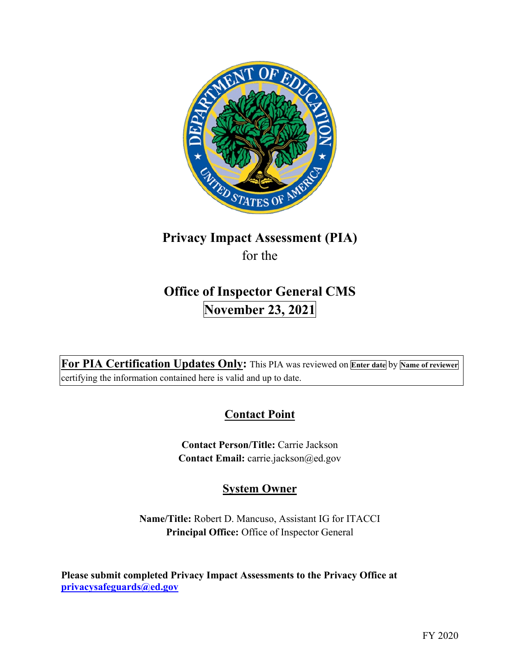

# **Privacy Impact Assessment (PIA)**  for the

# **Office of Inspector General CMS November 23, 2021**

 **For PIA Certification Updates Only:** This PIA was reviewed on **Enter date** by **Name of reviewer**  certifying the information contained here is valid and up to date.

## **Contact Point**

**Contact Person/Title:** Carrie Jackson **Contact Email:** [carrie.jackson@ed.gov](mailto:carrie.jackson@ed.gov) 

## **System Owner**

 **Name/Title:** Robert D. Mancuso, Assistant IG for ITACCI **Principal Office:** Office of Inspector General

 **Please submit completed Privacy Impact Assessments to the Privacy Office at [privacysafeguards@ed.gov](mailto:privacysafeguards@ed.gov)**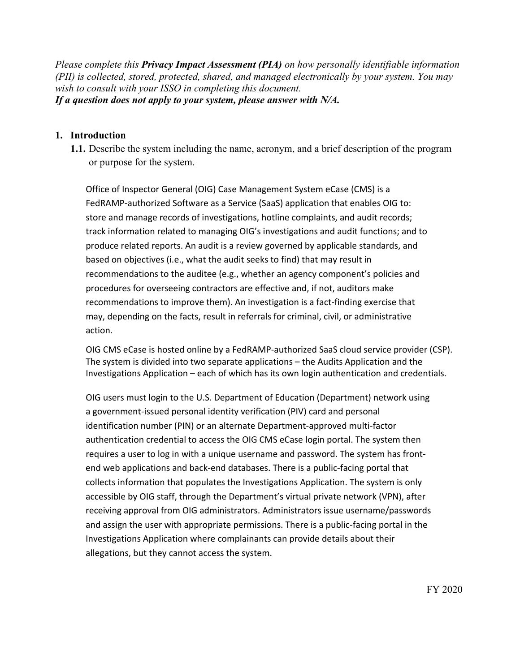*Please complete this Privacy Impact Assessment (PIA) on how personally identifiable information (PII) is collected, stored, protected, shared, and managed electronically by your system. You may wish to consult with your ISSO in completing this document. If a question does not apply to your system, please answer with N/A.* 

#### **1. Introduction**

 or purpose for the system. **1.1.** Describe the system including the name, acronym, and a brief description of the program

 FedRAMP-authorized Software as a Service (SaaS) application that enables OIG to: recommendations to improve them). An investigation is a fact-finding exercise that Office of Inspector General (OIG) Case Management System eCase (CMS) is a store and manage records of investigations, hotline complaints, and audit records; track information related to managing OIG's investigations and audit functions; and to produce related reports. An audit is a review governed by applicable standards, and based on objectives (i.e., what the audit seeks to find) that may result in recommendations to the auditee (e.g., whether an agency component's policies and procedures for overseeing contractors are effective and, if not, auditors make may, depending on the facts, result in referrals for criminal, civil, or administrative action.

 Investigations Application – each of which has its own login authentication and credentials. OIG CMS eCase is hosted online by a FedRAMP-authorized SaaS cloud service provider (CSP). The system is divided into two separate applications – the Audits Application and the

OIG users must login to the U.S. Department of Education (Department) network using a government-issued personal identity verification (PIV) card and personal identification number (PIN) or an alternate Department-approved multi-factor authentication credential to access the OIG CMS eCase login portal. The system then requires a user to log in with a unique username and password. The system has frontend web applications and back-end databases. There is a public-facing portal that collects information that populates the Investigations Application. The system is only accessible by OIG staff, through the Department's virtual private network (VPN), after receiving approval from OIG administrators. Administrators issue username/passwords and assign the user with appropriate permissions. There is a public-facing portal in the Investigations Application where complainants can provide details about their allegations, but they cannot access the system.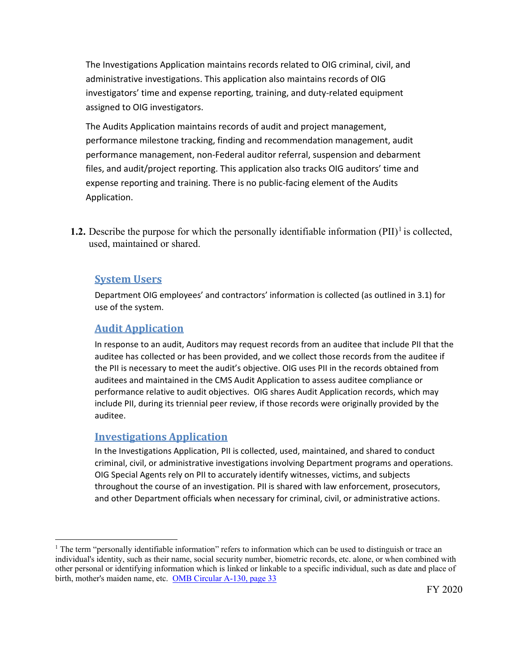The Investigations Application maintains records related to OIG criminal, civil, and administrative investigations. This application also maintains records of OIG investigators' time and expense reporting, training, and duty-related equipment assigned to OIG investigators.

The Audits Application maintains records of audit and project management, performance milestone tracking, finding and recommendation management, audit performance management, non-Federal auditor referral, suspension and debarment files, and audit/project reporting. This application also tracks OIG auditors' time and expense reporting and training. There is no public-facing element of the Audits Application.

**1.2.** Describe the purpose for which the personally identifiable information  $(PII)^{1}$  is collected, used, maintained or shared.

#### **System Users**

Department OIG employees' and contractors' information is collected (as outlined in 3.1) for use of the system.

#### **Audit Application**

 the PII is necessary to meet the audit's objective. OIG uses PII in the records obtained from auditees and maintained in the CMS Audit Application to assess auditee compliance or performance relative to audit objectives. OIG shares Audit Application records, which may In response to an audit, Auditors may request records from an auditee that include PII that the auditee has collected or has been provided, and we collect those records from the auditee if include PII, during its triennial peer review, if those records were originally provided by the auditee.

#### **Investigations Application**

 criminal, civil, or administrative investigations involving Department programs and operations. OIG Special Agents rely on PII to accurately identify witnesses, victims, and subjects throughout the course of an investigation. PII is shared with law enforcement, prosecutors, and other Department officials when necessary for criminal, civil, or administrative actions. In the Investigations Application, PII is collected, used, maintained, and shared to conduct

 $1$  The term "personally identifiable information" refers to information which can be used to distinguish or trace an individual's identity, such as their name, social security number, biometric records, etc. alone, or when combined with other personal or identifying information which is linked or linkable to a specific individual, such as date and place of birth, mother's maiden name, etc. OMB Circular A-130, page 33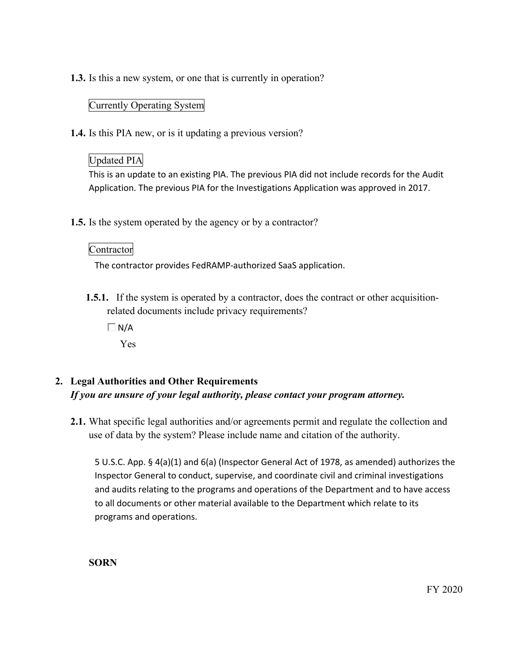**1.3.** Is this a new system, or one that is currently in operation?

#### Currently Operating System

**1.4.** Is this PIA new, or is it updating a previous version?

## Updated PIA

This is an update to an existing PIA. The previous PIA did not include records for the Audit Application. The previous PIA for the Investigations Application was approved in 2017.

**1.5.** Is the system operated by the agency or by a contractor?

#### Contractor

The contractor provides FedRAMP-authorized SaaS application.

**1.5.1.** If the system is operated by a contractor, does the contract or other acquisitionrelated documents include privacy requirements?

 $\Box$  N/A

Yes

## **2. Legal Authorities and Other Requirements**  *If you are unsure of your legal authority, please contact your program attorney.*

**2.1.** What specific legal authorities and/or agreements permit and regulate the collection and use of data by the system? Please include name and citation of the authority.

 to all documents or other material available to the Department which relate to its 5 U.S.C. App. § 4(a)(1) and 6(a) (Inspector General Act of 1978, as amended) authorizes the Inspector General to conduct, supervise, and coordinate civil and criminal investigations and audits relating to the programs and operations of the Department and to have access programs and operations.

**SORN** 

FY 2020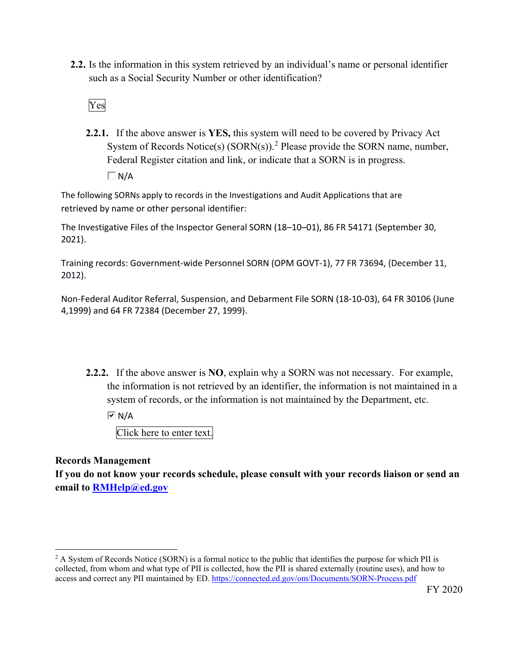**2.2.** Is the information in this system retrieved by an individual's name or personal identifier such as a Social Security Number or other identification?



**2.2.1.** If the above answer is **YES,** this system will need to be covered by Privacy Act System of Records Notice(s)  $(SORN(s))$ .<sup>2</sup> Please provide the SORN name, number, Federal Register citation and link, or indicate that a SORN is in progress.  $\Box$  N/A

 The following SORNs apply to records in the Investigations and Audit Applications that are retrieved by name or other personal identifier:

The Investigative Files of the Inspector General SORN (18–10–01), 86 FR 54171 (September 30, 2021).

Training records: Government-wide Personnel SORN (OPM GOVT-1), 77 FR 73694, (December 11, 2012).

Non-Federal Auditor Referral, Suspension, and Debarment File SORN (18-10-03), 64 FR 30106 (June 4,1999) and 64 FR 72384 (December 27, 1999).

 **2.2.2.** If the above answer is **NO**, explain why a SORN was not necessary. For example, system of records, or the information is not maintained by the Department, etc. the information is not retrieved by an identifier, the information is not maintained in a

 $\overline{M}$  N/A

Click here to enter text.

**Records Management** 

**If you do not know your records schedule, please consult with your records liaison or send an email to [RMHelp@ed.gov](mailto:RMHelp@ed.gov)** 

 $2$  A System of Records Notice (SORN) is a formal notice to the public that identifies the purpose for which PII is collected, from whom and what type of PII is collected, how the PII is shared externally (routine uses), and how to access and correct any PII maintained by ED. <https://connected.ed.gov/om/Documents/SORN-Process.pdf>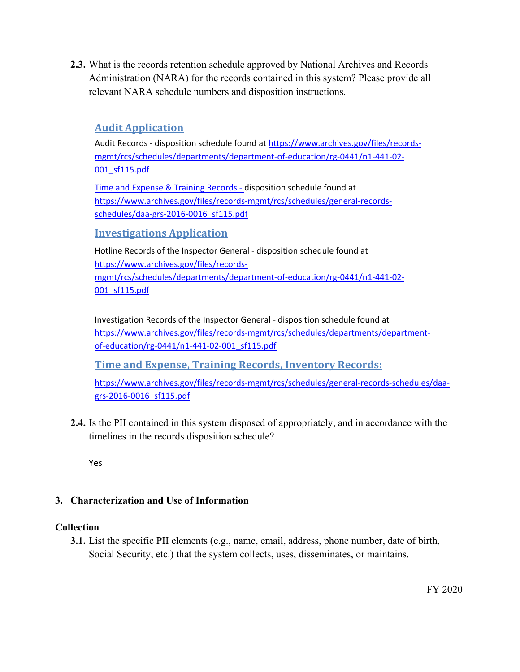Administration (NARA) for the records contained in this system? Please provide all **2.3.** What is the records retention schedule approved by National Archives and Records relevant NARA schedule numbers and disposition instructions.

## **Audit Application**

Audit Records - disposition schedule found at<https://www.archives.gov/files/records>-001 sf115.pdf mgmt/rcs/schedules/departments/department-of-education/rg-0441/n1-441-02-

<u>001\_sf115.pdf</u><br>Time and Expense & Training Records - disposition schedule found at <https://www.archives.gov/files/records-mgmt/rcs/schedules/general-records>schedules/daa-grs-2016-0016\_sf115.pdf

#### **Investigations Application**

 Hotline Records of the Inspector General - disposition schedule found at <https://www.archives.gov/files/records>mgmt/rcs/schedules/departments/department-of-education/rg-0441/n1-441-02- 001\_sf115.pdf

 Investigation Records of the Inspector General - disposition schedule found at <https://www.archives.gov/files/records-mgmt/rcs/schedules/departments/department>of-education/rg-0441/n1-441-02-001\_sf115.pdf

 **Time and Expense, Training Records, Inventory Records:** 

<https://www.archives.gov/files/records-mgmt/rcs/schedules/general-records-schedules/daa>grs-2016-0016\_sf115.pdf

 timelines in the records disposition schedule? **2.4.** Is the PII contained in this system disposed of appropriately, and in accordance with the

Yes

#### **3. Characterization and Use of Information**

#### **Collection**

**3.1.** List the specific PII elements (e.g., name, email, address, phone number, date of birth, Social Security, etc.) that the system collects, uses, disseminates, or maintains.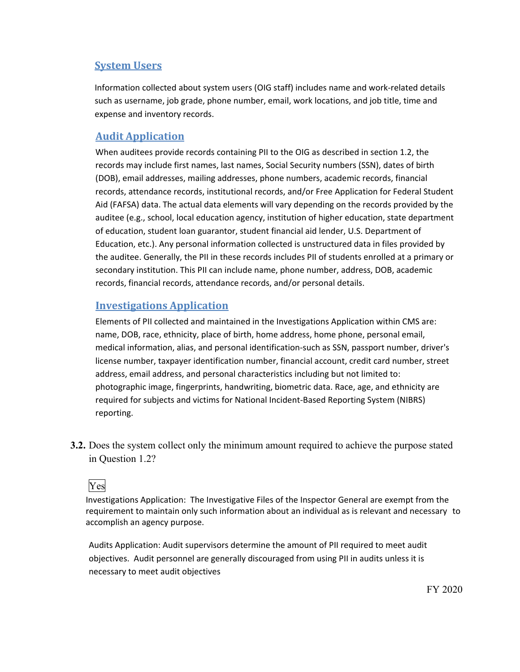#### **System Users**

 Information collected about system users (OIG staff) includes name and work-related details such as username, job grade, phone number, email, work locations, and job title, time and expense and inventory records.

## **Audit Application**

 When auditees provide records containing PII to the OIG as described in section 1.2, the records may include first names, last names, Social Security numbers (SSN), dates of birth Aid (FAFSA) data. The actual data elements will vary depending on the records provided by the auditee (e.g., school, local education agency, institution of higher education, state department<br>of education, student loan guarantor, student financial aid lender, U.S. Department of Education, etc.). Any personal information collected is unstructured data in files provided by the auditee. Generally, the PII in these records includes PII of students enrolled at a primary or secondary institution. This PII can include name, phone number, address, DOB, academic (DOB), email addresses, mailing addresses, phone numbers, academic records, financial records, attendance records, institutional records, and/or Free Application for Federal Student records, financial records, attendance records, and/or personal details.

#### **Investigations Application**

 license number, taxpayer identification number, financial account, credit card number, street Elements of PII collected and maintained in the Investigations Application within CMS are: name, DOB, race, ethnicity, place of birth, home address, home phone, personal email, medical information, alias, and personal identification-such as SSN, passport number, driver's address, email address, and personal characteristics including but not limited to: photographic image, fingerprints, handwriting, biometric data. Race, age, and ethnicity are required for subjects and victims for National Incident-Based Reporting System (NIBRS) reporting.

 **3.2.** Does the system collect only the minimum amount required to achieve the purpose stated in Question 1.2?

## Yes

 Investigations Application: The Investigative Files of the Inspector General are exempt from the requirement to maintain only such information about an individual as is relevant and necessary to accomplish an agency purpose.

 Audits Application: Audit supervisors determine the amount of PII required to meet audit objectives. Audit personnel are generally discouraged from using PII in audits unless it is necessary to meet audit objectives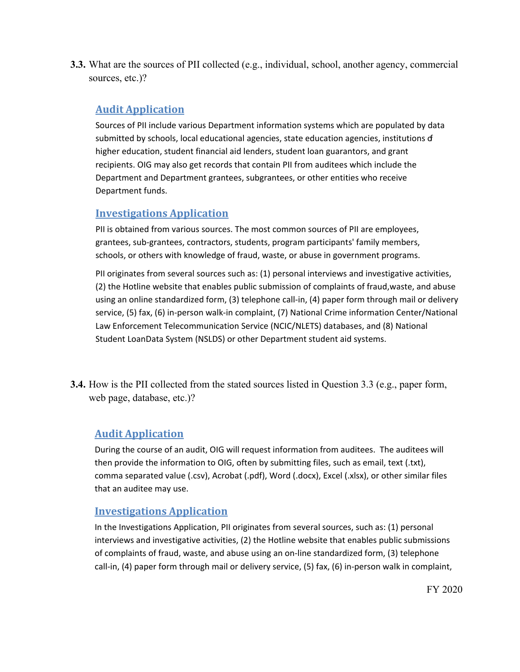**3.3.** What are the sources of PII collected (e.g., individual, school, another agency, commercial sources, etc.)?

#### **Audit Application**

 Department and Department grantees, subgrantees, or other entities who receive Department funds. Sources of PII include various Department information systems which are populated by data submitted by schools, local educational agencies, state education agencies, institutions of higher education, student financial aid lenders, student loan guarantors, and grant recipients. OIG may also get records that contain PII from auditees which include the

## **Investigations Application**

 schools, or others with knowledge of fraud, waste, or abuse in government programs. PII is obtained from various sources. The most common sources of PII are employees, grantees, sub-grantees, contractors, students, program participants' family members,

 PII originates from several sources such as: (1) personal interviews and investigative activities, using an online standardized form, (3) telephone call-in, (4) paper form through mail or delivery service, (5) fax, (6) in-person walk-in complaint, (7) National Crime information Center/National Student LoanData System (NSLDS) or other Department student aid systems. (2) the Hotline website that enables public submission of complaints of fraud,waste, and abuse Law Enforcement Telecommunication Service (NCIC/NLETS) databases, and (8) National

 **3.4.** How is the PII collected from the stated sources listed in Question 3.3 (e.g., paper form, web page, database, etc.)?

## **Audit Application**

 During the course of an audit, OIG will request information from auditees. The auditees will comma separated value (.csv), Acrobat (.pdf), Word (.docx), Excel (.xlsx), or other similar files<br>that an auditee may use. that an auditee may use. then provide the information to OIG, often by submitting files, such as email, text (.txt),

## **Investigations Application**

 call-in, (4) paper form through mail or delivery service, (5) fax, (6) in-person walk in complaint, In the Investigations Application, PII originates from several sources, such as: (1) personal interviews and investigative activities, (2) the Hotline website that enables public submissions of complaints of fraud, waste, and abuse using an on-line standardized form, (3) telephone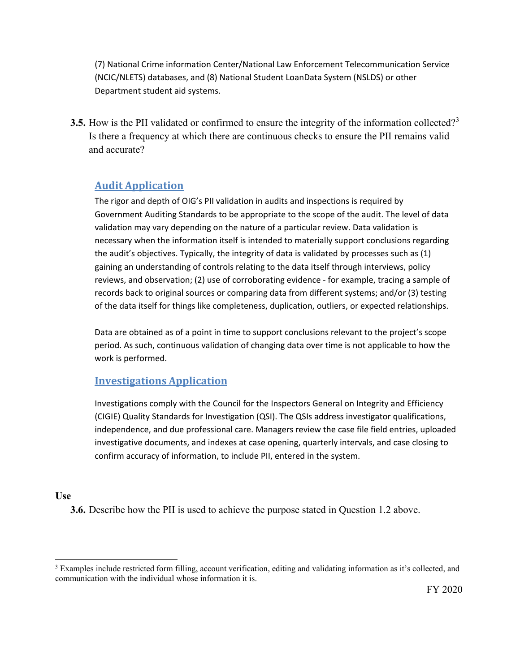(7) National Crime information Center/National Law Enforcement Telecommunication Service (NCIC/NLETS) databases, and (8) National Student LoanData System (NSLDS) or other Department student aid systems.

**3.5.** How is the PII validated or confirmed to ensure the integrity of the information collected?<sup>3</sup> Is there a frequency at which there are continuous checks to ensure the PII remains valid and accurate?

## **Audit Application**

 The rigor and depth of OIG's PII validation in audits and inspections is required by necessary when the information itself is intended to materially support conclusions regarding reviews, and observation; (2) use of corroborating evidence - for example, tracing a sample of Government Auditing Standards to be appropriate to the scope of the audit. The level of data validation may vary depending on the nature of a particular review. Data validation is the audit's objectives. Typically, the integrity of data is validated by processes such as (1) gaining an understanding of controls relating to the data itself through interviews, policy records back to original sources or comparing data from different systems; and/or (3) testing of the data itself for things like completeness, duplication, outliers, or expected relationships.

Data are obtained as of a point in time to support conclusions relevant to the project's scope period. As such, continuous validation of changing data over time is not applicable to how the work is performed.

#### **Investigations Application**

 Investigations comply with the Council for the Inspectors General on Integrity and Efficiency investigative documents, and indexes at case opening, quarterly intervals, and case closing to (CIGIE) Quality Standards for Investigation (QSI). The QSIs address investigator qualifications, independence, and due professional care. Managers review the case file field entries, uploaded confirm accuracy of information, to include PII, entered in the system.

#### **Use**

**3.6.** Describe how the PII is used to achieve the purpose stated in Question 1.2 above.

 $3$  Examples include restricted form filling, account verification, editing and validating information as it's collected, and communication with the individual whose information it is.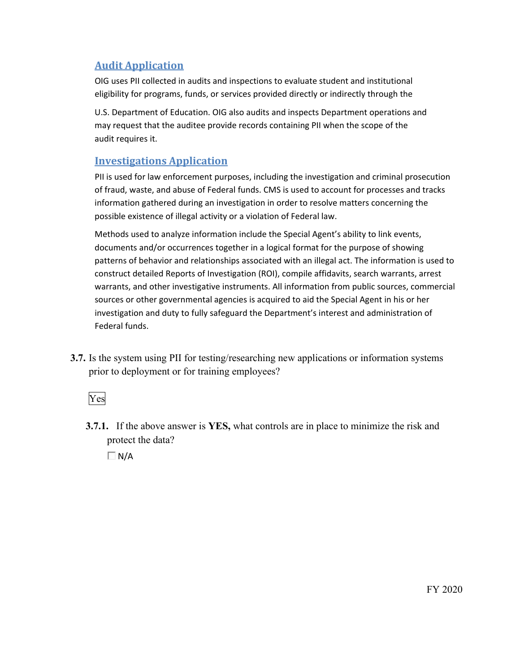eligibility for programs, funds, or services provided directly or indirectly through the OIG uses PII collected in audits and inspections to evaluate student and institutional

 may request that the auditee provide records containing PII when the scope of the U.S. Department of Education. OIG also audits and inspects Department operations and audit requires it.

## **Investigations Application**

 PII is used for law enforcement purposes, including the investigation and criminal prosecution of fraud, waste, and abuse of Federal funds. CMS is used to account for processes and tracks information gathered during an investigation in order to resolve matters concerning the possible existence of illegal activity or a violation of Federal law.

 sources or other governmental agencies is acquired to aid the Special Agent in his or her investigation and duty to fully safeguard the Department's interest and administration of Methods used to analyze information include the Special Agent's ability to link events, documents and/or occurrences together in a logical format for the purpose of showing patterns of behavior and relationships associated with an illegal act. The information is used to construct detailed Reports of Investigation (ROI), compile affidavits, search warrants, arrest warrants, and other investigative instruments. All information from public sources, commercial Federal funds.

 **3.7.** Is the system using PII for testing/researching new applications or information systems prior to deployment or for training employees?<br>Yes



 **3.7.1.** If the above answer is **YES,** what controls are in place to minimize the risk and protect the data?

 $\Box$  N/A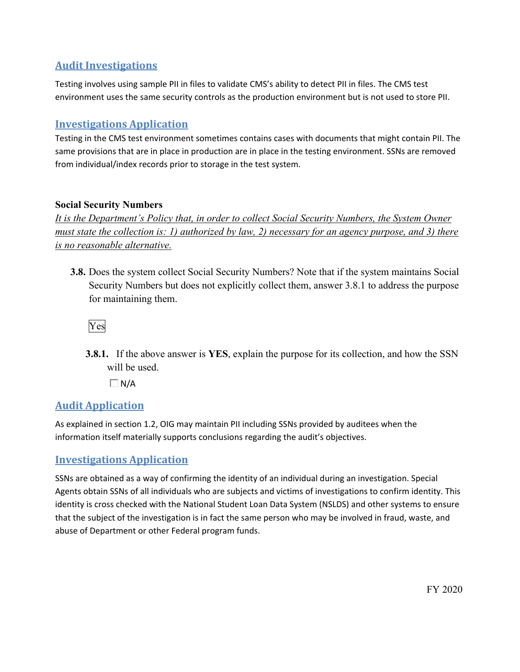## **Audit Investigations**

 environment uses the same security controls as the production environment but is not used to store PII. Testing involves using sample PII in files to validate CMS's ability to detect PII in files. The CMS test

## **Investigations Application**

 Testing in the CMS test environment sometimes contains cases with documents that might contain PII. The same provisions that are in place in production are in place in the testing environment. SSNs are removed from individual/index records prior to storage in the test system.

#### **Social Security Numbers**

 *It is the Department's Policy that, in order to collect Social Security Numbers, the System Owner must state the collection is: 1) authorized by law, 2) necessary for an agency purpose, and 3) there is no reasonable alternative.* 

 **3.8.** Does the system collect Social Security Numbers? Note that if the system maintains Social Security Numbers but does not explicitly collect them, answer 3.8.1 to address the purpose for maintaining them.

Yes

 will be used. **3.8.1.** If the above answer is **YES**, explain the purpose for its collection, and how the SSN

 $\Box$  N/A

## **Audit Application**

As explained in section 1.2, OIG may maintain PII including SSNs provided by auditees when the information itself materially supports conclusions regarding the audit's objectives.

## **Investigations Application**

SSNs are obtained as a way of confirming the identity of an individual during an investigation. Special Agents obtain SSNs of all individuals who are subjects and victims of investigations to confirm identity. This identity is cross checked with the National Student Loan Data System (NSLDS) and other systems to ensure that the subject of the investigation is in fact the same person who may be involved in fraud, waste, and abuse of Department or other Federal program funds.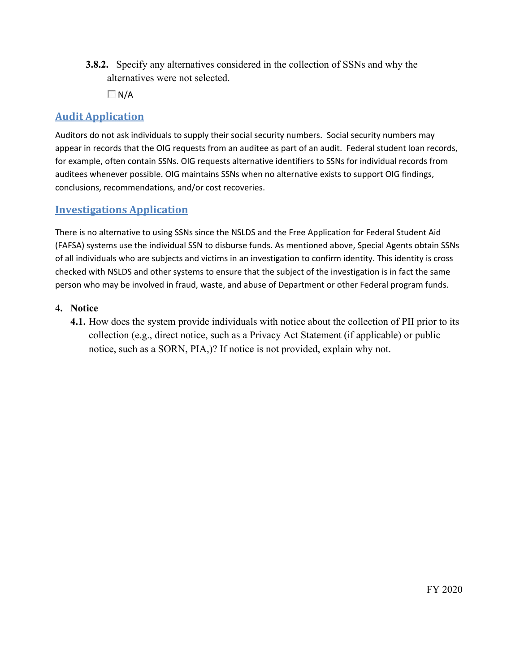- **3.8.2.** Specify any alternatives considered in the collection of SSNs and why the alternatives were not selected.
	- $\Box$  N/A

 Auditors do not ask individuals to supply their social security numbers. Social security numbers may appear in records that the OIG requests from an auditee as part of an audit. Federal student loan records, for example, often contain SSNs. OIG requests alternative identifiers to SSNs for individual records from auditees whenever possible. OIG maintains SSNs when no alternative exists to support OIG findings, conclusions, recommendations, and/or cost recoveries.

#### **Investigations Application**

 There is no alternative to using SSNs since the NSLDS and the Free Application for Federal Student Aid (FAFSA) systems use the individual SSN to disburse funds. As mentioned above, Special Agents obtain SSNs of all individuals who are subjects and victims in an investigation to confirm identity. This identity is cross checked with NSLDS and other systems to ensure that the subject of the investigation is in fact the same person who may be involved in fraud, waste, and abuse of Department or other Federal program funds.

#### **4. Notice**

 collection (e.g., direct notice, such as a Privacy Act Statement (if applicable) or public **4.1.** How does the system provide individuals with notice about the collection of PII prior to its notice, such as a SORN, PIA,)? If notice is not provided, explain why not.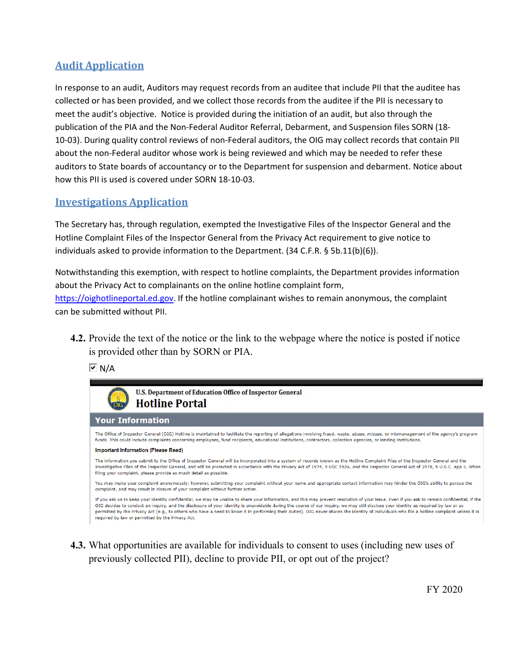meet the audit's objective. Notice is provided during the initiation of an audit, but also through the 10-03). During quality control reviews of non-Federal auditors, the OIG may collect records that contain PII about the non-Federal auditor whose work is being reviewed and which may be needed to refer these auditors to State boards of accountancy or to the Department for suspension and debarment. Notice about how this PII is used is covered under SORN 18-10-03. In response to an audit, Auditors may request records from an auditee that include PII that the auditee has collected or has been provided, and we collect those records from the auditee if the PII is necessary to publication of the PIA and the Non-Federal Auditor Referral, Debarment, and Suspension files SORN (18-

#### **Investigations Application**

 The Secretary has, through regulation, exempted the Investigative Files of the Inspector General and the Hotline Complaint Files of the Inspector General from the Privacy Act requirement to give notice to individuals asked to provide information to the Department. (34 C.F.R. § 5b.11(b)(6)).

<u><https://oighotlineportal.ed.gov></u>. If the hotline complainant wishes to remain anonymous, the complaint<br>can be submitted without PII. Notwithstanding this exemption, with respect to hotline complaints, the Department provides information about the Privacy Act to complainants on the online hotline complaint form,

 is provided other than by SORN or PIA. **4.2.** Provide the text of the notice or the link to the webpage where the notice is posted if notice

**▽** N/A



 **4.3.** What opportunities are available for individuals to consent to uses (including new uses of previously collected PII), decline to provide PII, or opt out of the project?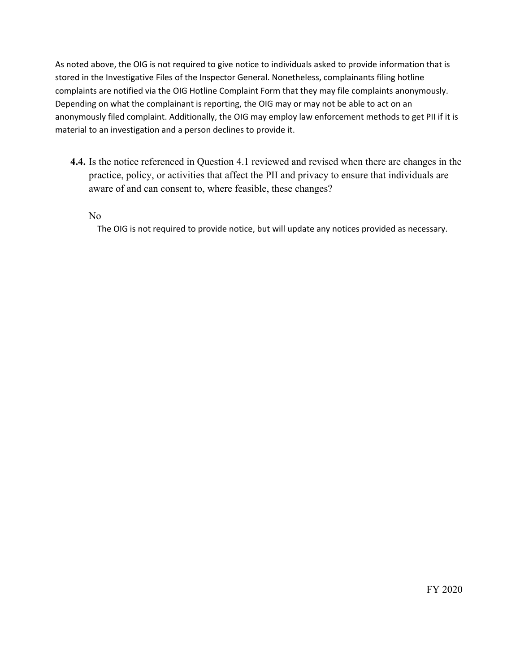Depending on what the complainant is reporting, the OIG may or may not be able to act on an anonymously filed complaint. Additionally, the OIG may employ law enforcement methods to get PII if it is As noted above, the OIG is not required to give notice to individuals asked to provide information that is stored in the Investigative Files of the Inspector General. Nonetheless, complainants filing hotline complaints are notified via the OIG Hotline Complaint Form that they may file complaints anonymously. material to an investigation and a person declines to provide it.

 practice, policy, or activities that affect the PII and privacy to ensure that individuals are **4.4.** Is the notice referenced in Question 4.1 reviewed and revised when there are changes in the aware of and can consent to, where feasible, these changes?

#### No

The OIG is not required to provide notice, but will update any notices provided as necessary.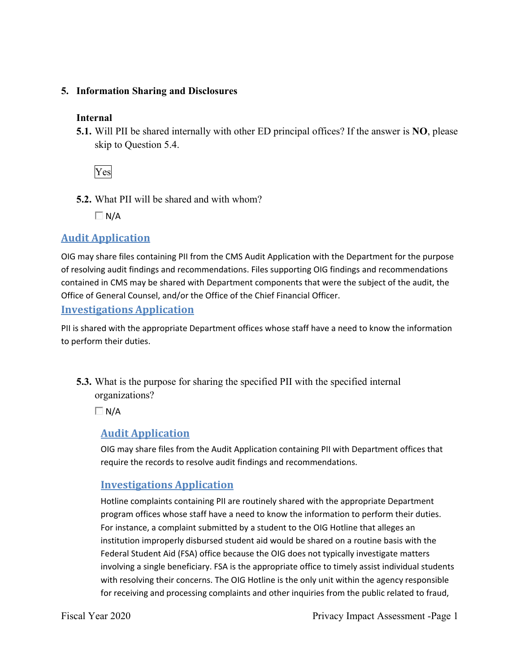#### **5. Information Sharing and Disclosures**

#### **Internal**

 **5.1.** Will PII be shared internally with other ED principal offices? If the answer is **NO**, please skip to Question 5.4.

Yes

**5.2.** What PII will be shared and with whom?

 $\Box$  N/A

## **Audit Application**

 OIG may share files containing PII from the CMS Audit Application with the Department for the purpose contained in CMS may be shared with Department components that were the subject of the audit, the of resolving audit findings and recommendations. Files supporting OIG findings and recommendations Office of General Counsel, and/or the Office of the Chief Financial Officer.

**Investigations Application** 

 PII is shared with the appropriate Department offices whose staff have a need to know the information to perform their duties.

 **5.3.** What is the purpose for sharing the specified PII with the specified internal organizations?

 $\Box$  N/A

## **Audit Application**

 OIG may share files from the Audit Application containing PII with Department offices that require the records to resolve audit findings and recommendations.

## **Investigations Application**

 program offices whose staff have a need to know the information to perform their duties. For instance, a complaint submitted by a student to the OIG Hotline that alleges an Federal Student Aid (FSA) office because the OIG does not typically investigate matters with resolving their concerns. The OIG Hotline is the only unit within the agency responsible for receiving and processing complaints and other inquiries from the public related to fraud, Hotline complaints containing PII are routinely shared with the appropriate Department institution improperly disbursed student aid would be shared on a routine basis with the involving a single beneficiary. FSA is the appropriate office to timely assist individual students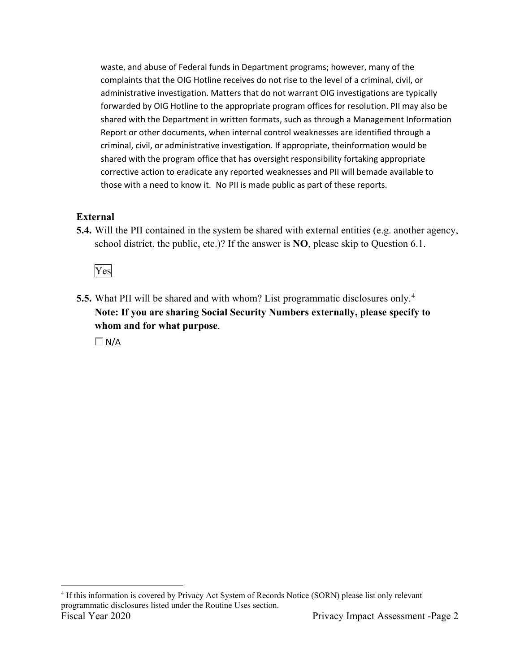forwarded by OIG Hotline to the appropriate program offices for resolution. PII may also be corrective action to eradicate any reported weaknesses and PII will bemade available to those with a need to know it. No PII is made public as part of these reports. waste, and abuse of Federal funds in Department programs; however, many of the complaints that the OIG Hotline receives do not rise to the level of a criminal, civil, or administrative investigation. Matters that do not warrant OIG investigations are typically shared with the Department in written formats, such as through a Management Information Report or other documents, when internal control weaknesses are identified through a criminal, civil, or administrative investigation. If appropriate, theinformation would be shared with the program office that has oversight responsibility fortaking appropriate

## **External**

**5.4.** Will the PII contained in the system be shared with external entities (e.g. another agency, school district, the public, etc.)? If the answer is **NO**, please skip to Question 6.1.

Yes

 **5.5.** What PII will be shared and with whom? List programmatic disclosures only. 4  **Note: If you are sharing Social Security Numbers externally, please specify to whom and for what purpose**.

 $\Box$  N/A

Fiscal Year 2020 <sup>4</sup> If this information is covered by Privacy Act System of Records Notice (SORN) please list only relevant programmatic disclosures listed under the Routine Uses section. Privacy Impact Assessment -Page 2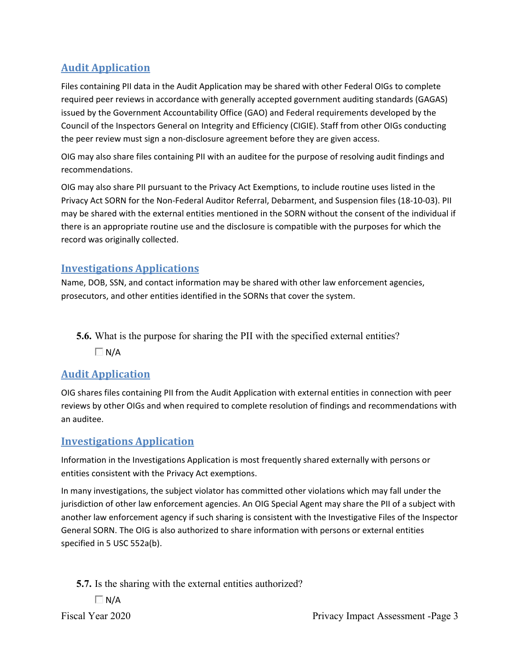required peer reviews in accordance with generally accepted government auditing standards (GAGAS) Files containing PII data in the Audit Application may be shared with other Federal OIGs to complete issued by the Government Accountability Office (GAO) and Federal requirements developed by the Council of the Inspectors General on Integrity and Efficiency (CIGIE). Staff from other OIGs conducting the peer review must sign a non-disclosure agreement before they are given access.

OIG may also share files containing PII with an auditee for the purpose of resolving audit findings and recommendations.

 OIG may also share PII pursuant to the Privacy Act Exemptions, to include routine uses listed in the Privacy Act SORN for the Non-Federal Auditor Referral, Debarment, and Suspension files (18-10-03). PII may be shared with the external entities mentioned in the SORN without the consent of the individual if there is an appropriate routine use and the disclosure is compatible with the purposes for which the record was originally collected.

## **Investigations Applications**

Name, DOB, SSN, and contact information may be shared with other law enforcement agencies, prosecutors, and other entities identified in the SORNs that cover the system.

**5.6.** What is the purpose for sharing the PII with the specified external entities?

 $\Box$  N/A

## **Audit Application**

OIG shares files containing PII from the Audit Application with external entities in connection with peer reviews by other OIGs and when required to complete resolution of findings and recommendations with an auditee.

## **Investigations Application**

 Information in the Investigations Application is most frequently shared externally with persons or entities consistent with the Privacy Act exemptions.

 jurisdiction of other law enforcement agencies. An OIG Special Agent may share the PII of a subject with another law enforcement agency if such sharing is consistent with the Investigative Files of the Inspector General SORN. The OIG is also authorized to share information with persons or external entities specified in 5 USC 552a(b). In many investigations, the subject violator has committed other violations which may fall under the

**5.7.** Is the sharing with the external entities authorized?

 $\Box$  N/A

Fiscal Year 2020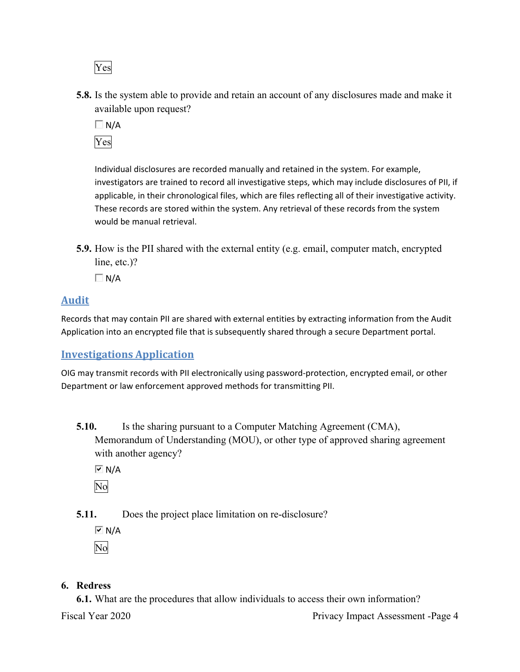Yes

 **5.8.** Is the system able to provide and retain an account of any disclosures made and make it available upon request?

 $\Box$  N/A Yes

Individual disclosures are recorded manually and retained in the system. For example, investigators are trained to record all investigative steps, which may include disclosures of PII, if applicable, in their chronological files, which are files reflecting all of their investigative activity. These records are stored within the system. Any retrieval of these records from the system would be manual retrieval.

**5.9.** How is the PII shared with the external entity (e.g. email, computer match, encrypted line, etc.)?

 $\Box$  N/A

## **Audit**

 Records that may contain PII are shared with external entities by extracting information from the Audit Application into an encrypted file that is subsequently shared through a secure Department portal.

## **Investigations Application**

OIG may transmit records with PII electronically using password-protection, encrypted email, or other Department or law enforcement approved methods for transmitting PII.

**5.10.** Is the sharing pursuant to a Computer Matching Agreement (CMA), Memorandum of Understanding (MOU), or other type of approved sharing agreement with another agency?

 $\overline{M}$  N/A

No

**5.11.** Does the project place limitation on re-disclosure?

 $\overline{M}$  N/A No

## **6. Redress**

**6.1.** What are the procedures that allow individuals to access their own information?

Fiscal Year 2020

Privacy Impact Assessment -Page 4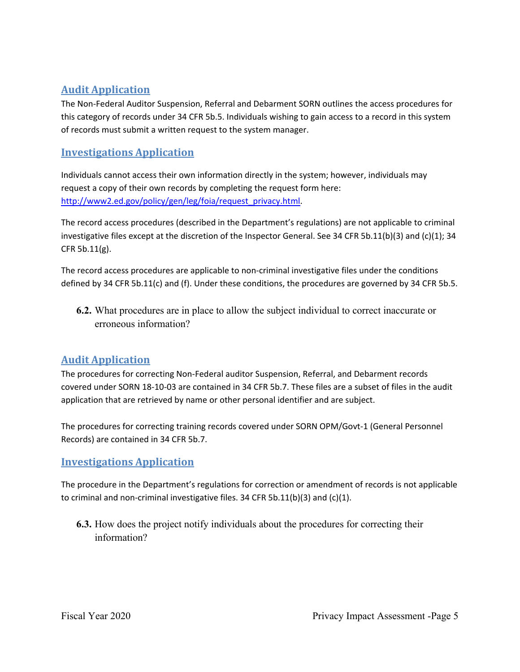this category of records under 34 CFR 5b.5. Individuals wishing to gain access to a record in this system The Non-Federal Auditor Suspension, Referral and Debarment SORN outlines the access procedures for of records must submit a written request to the system manager.

## **Investigations Application**

 Individuals cannot access their own information directly in the system; however, individuals may request a copy of their own records by completing the request form here: [http://www2.ed.gov/policy/gen/leg/foia/request\\_privacy.html.](http://www2.ed.gov/policy/gen/leg/foia/request_privacy.html)

 investigative files except at the discretion of the Inspector General. See 34 CFR 5b.11(b)(3) and (c)(1); 34 The record access procedures (described in the Department's regulations) are not applicable to criminal CFR 5b.11(g).

The record access procedures are applicable to non-criminal investigative files under the conditions defined by 34 CFR 5b.11(c) and (f). Under these conditions, the procedures are governed by 34 CFR 5b.5.

 **6.2.** What procedures are in place to allow the subject individual to correct inaccurate or erroneous information?

## **Audit Application**

The procedures for correcting Non-Federal auditor Suspension, Referral, and Debarment records covered under SORN 18-10-03 are contained in 34 CFR 5b.7. These files are a subset of files in the audit application that are retrieved by name or other personal identifier and are subject.

 Records) are contained in 34 CFR 5b.7. The procedures for correcting training records covered under SORN OPM/Govt-1 (General Personnel

## **Investigations Application**

The procedure in the Department's regulations for correction or amendment of records is not applicable to criminal and non-criminal investigative files. 34 CFR 5b.11(b)(3) and (c)(1).

**6.3.** How does the project notify individuals about the procedures for correcting their information?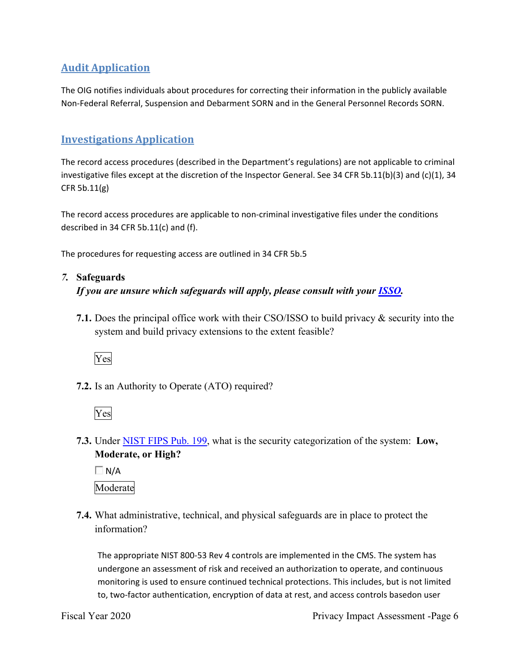The OIG notifies individuals about procedures for correcting their information in the publicly available Non-Federal Referral, Suspension and Debarment SORN and in the General Personnel Records SORN.

## **Investigations Application**

 investigative files except at the discretion of the Inspector General. See 34 CFR 5b.11(b)(3) and (c)(1), 34 The record access procedures (described in the Department's regulations) are not applicable to criminal CFR 5b.11(g)

The record access procedures are applicable to non-criminal investigative files under the conditions described in 34 CFR 5b.11(c) and (f).

The procedures for requesting access are outlined in 34 CFR 5b.5

#### *7.* **Safeguards**

#### *If you are unsure which safeguards will apply, please consult with your ISSO.*

 **7.1.** Does the principal office work with their CSO/ISSO to build privacy & security into the system and build privacy extensions to the extent feasible?



**7.2.** Is an Authority to Operate (ATO) required?



- **7.3.** Under NIST FIPS Pub. 199, what is the security categorization of the system: **Low, Moderate, or High?** 
	- $\Box$  N/A

Moderate

 **7.4.** What administrative, technical, and physical safeguards are in place to protect the information?

 The appropriate NIST 800-53 Rev 4 controls are implemented in the CMS. The system has monitoring is used to ensure continued technical protections. This includes, but is not limited undergone an assessment of risk and received an authorization to operate, and continuous to, two-factor authentication, encryption of data at rest, and access controls basedon user

Fiscal Year 2020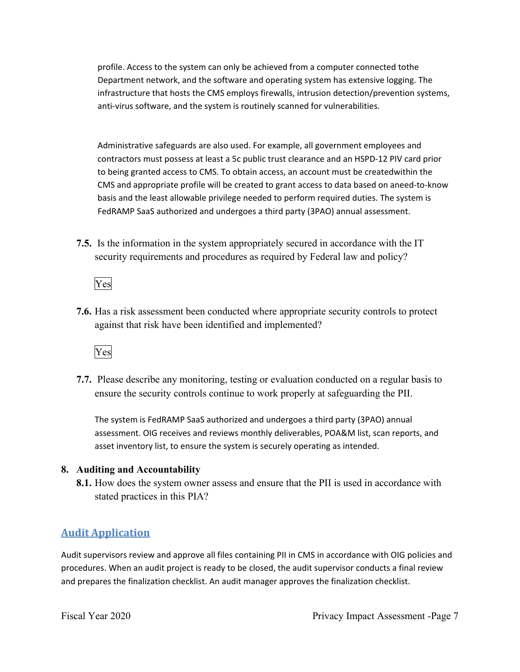infrastructure that hosts the CMS employs firewalls, intrusion detection/prevention systems, anti-virus software, and the system is routinely scanned for vulnerabilities. profile. Access to the system can only be achieved from a computer connected tothe Department network, and the software and operating system has extensive logging. The

 contractors must possess at least a 5c public trust clearance and an HSPD-12 PIV card prior to being granted access to CMS. To obtain access, an account must be createdwithin the CMS and appropriate profile will be created to grant access to data based on aneed-to-know FedRAMP SaaS authorized and undergoes a third party (3PAO) annual assessment. Administrative safeguards are also used. For example, all government employees and basis and the least allowable privilege needed to perform required duties. The system is

 **7.5.** Is the information in the system appropriately secured in accordance with the IT security requirements and procedures as required by Federal law and policy?

Yes

**7.6.** Has a risk assessment been conducted where appropriate security controls to protect against that risk have been identified and implemented?



 ensure the security controls continue to work properly at safeguarding the PII. **7.7.** Please describe any monitoring, testing or evaluation conducted on a regular basis to

 assessment. OIG receives and reviews monthly deliverables, POA&M list, scan reports, and The system is FedRAMP SaaS authorized and undergoes a third party (3PAO) annual asset inventory list, to ensure the system is securely operating as intended.

#### **8. Auditing and Accountability**

 **8.1.** How does the system owner assess and ensure that the PII is used in accordance with stated practices in this PIA?

## **Audit Application**

Audit supervisors review and approve all files containing PII in CMS in accordance with OIG policies and procedures. When an audit project is ready to be closed, the audit supervisor conducts a final review and prepares the finalization checklist. An audit manager approves the finalization checklist.

Fiscal Year 2020